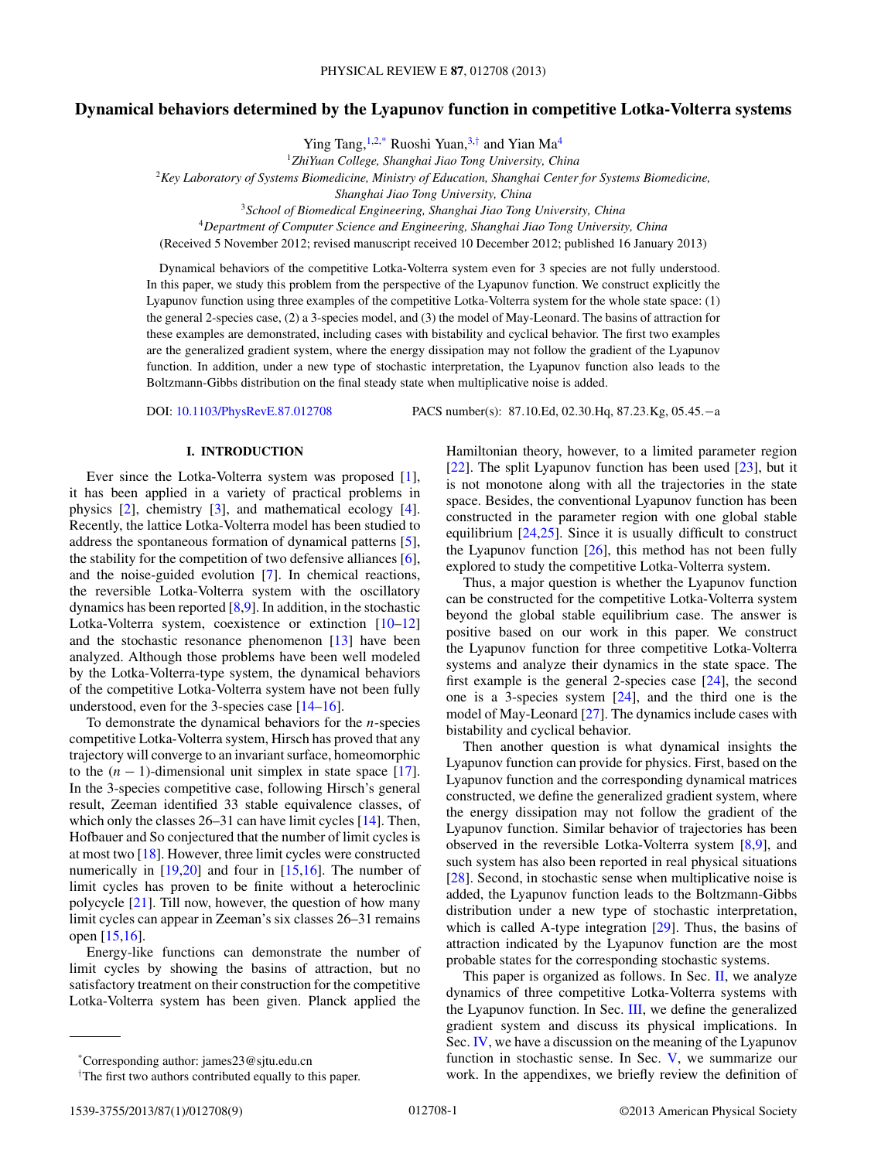# **Dynamical behaviors determined by the Lyapunov function in competitive Lotka-Volterra systems**

Ying Tang,  $1.2$ ,\* Ruoshi Yuan, $3$ , $\dagger$  and Yian Ma<sup>4</sup>

<sup>1</sup>*ZhiYuan College, Shanghai Jiao Tong University, China*

<sup>2</sup>*Key Laboratory of Systems Biomedicine, Ministry of Education, Shanghai Center for Systems Biomedicine,*

*Shanghai Jiao Tong University, China*

<sup>3</sup>*School of Biomedical Engineering, Shanghai Jiao Tong University, China*

<sup>4</sup>*Department of Computer Science and Engineering, Shanghai Jiao Tong University, China*

(Received 5 November 2012; revised manuscript received 10 December 2012; published 16 January 2013)

Dynamical behaviors of the competitive Lotka-Volterra system even for 3 species are not fully understood. In this paper, we study this problem from the perspective of the Lyapunov function. We construct explicitly the Lyapunov function using three examples of the competitive Lotka-Volterra system for the whole state space: (1) the general 2-species case, (2) a 3-species model, and (3) the model of May-Leonard. The basins of attraction for these examples are demonstrated, including cases with bistability and cyclical behavior. The first two examples are the generalized gradient system, where the energy dissipation may not follow the gradient of the Lyapunov function. In addition, under a new type of stochastic interpretation, the Lyapunov function also leads to the Boltzmann-Gibbs distribution on the final steady state when multiplicative noise is added.

DOI: [10.1103/PhysRevE.87.012708](http://dx.doi.org/10.1103/PhysRevE.87.012708) PACS number(s): 87*.*10*.*Ed, 02*.*30*.*Hq, 87*.*23*.*Kg, 05*.*45*.*−a

# **I. INTRODUCTION**

Ever since the Lotka-Volterra system was proposed [\[1\]](#page-7-0), it has been applied in a variety of practical problems in physics [\[2\]](#page-7-0), chemistry [\[3\]](#page-7-0), and mathematical ecology [\[4\]](#page-7-0). Recently, the lattice Lotka-Volterra model has been studied to address the spontaneous formation of dynamical patterns [\[5\]](#page-7-0), the stability for the competition of two defensive alliances [\[6\]](#page-8-0), and the noise-guided evolution [\[7\]](#page-8-0). In chemical reactions, the reversible Lotka-Volterra system with the oscillatory dynamics has been reported [\[8,9\]](#page-8-0). In addition, in the stochastic Lotka-Volterra system, coexistence or extinction [\[10–12\]](#page-8-0) and the stochastic resonance phenomenon [\[13\]](#page-8-0) have been analyzed. Although those problems have been well modeled by the Lotka-Volterra-type system, the dynamical behaviors of the competitive Lotka-Volterra system have not been fully understood, even for the 3-species case [\[14–16\]](#page-8-0).

To demonstrate the dynamical behaviors for the *n*-species competitive Lotka-Volterra system, Hirsch has proved that any trajectory will converge to an invariant surface, homeomorphic to the  $(n - 1)$ -dimensional unit simplex in state space [\[17\]](#page-8-0). In the 3-species competitive case, following Hirsch's general result, Zeeman identified 33 stable equivalence classes, of which only the classes 26–31 can have limit cycles [\[14\]](#page-8-0). Then, Hofbauer and So conjectured that the number of limit cycles is at most two [\[18\]](#page-8-0). However, three limit cycles were constructed numerically in  $[19,20]$  and four in  $[15,16]$ . The number of limit cycles has proven to be finite without a heteroclinic polycycle [\[21\]](#page-8-0). Till now, however, the question of how many limit cycles can appear in Zeeman's six classes 26–31 remains open [\[15,16\]](#page-8-0).

Energy-like functions can demonstrate the number of limit cycles by showing the basins of attraction, but no satisfactory treatment on their construction for the competitive Lotka-Volterra system has been given. Planck applied the

Hamiltonian theory, however, to a limited parameter region [\[22\]](#page-8-0). The split Lyapunov function has been used [\[23\]](#page-8-0), but it is not monotone along with all the trajectories in the state space. Besides, the conventional Lyapunov function has been constructed in the parameter region with one global stable equilibrium  $[24,25]$ . Since it is usually difficult to construct the Lyapunov function  $[26]$ , this method has not been fully explored to study the competitive Lotka-Volterra system.

Thus, a major question is whether the Lyapunov function can be constructed for the competitive Lotka-Volterra system beyond the global stable equilibrium case. The answer is positive based on our work in this paper. We construct the Lyapunov function for three competitive Lotka-Volterra systems and analyze their dynamics in the state space. The first example is the general 2-species case  $[24]$ , the second one is a 3-species system [\[24\]](#page-8-0), and the third one is the model of May-Leonard [\[27\]](#page-8-0). The dynamics include cases with bistability and cyclical behavior.

Then another question is what dynamical insights the Lyapunov function can provide for physics. First, based on the Lyapunov function and the corresponding dynamical matrices constructed, we define the generalized gradient system, where the energy dissipation may not follow the gradient of the Lyapunov function. Similar behavior of trajectories has been observed in the reversible Lotka-Volterra system [\[8,9\]](#page-8-0), and such system has also been reported in real physical situations [\[28\]](#page-8-0). Second, in stochastic sense when multiplicative noise is added, the Lyapunov function leads to the Boltzmann-Gibbs distribution under a new type of stochastic interpretation, which is called A-type integration [\[29\]](#page-8-0). Thus, the basins of attraction indicated by the Lyapunov function are the most probable states for the corresponding stochastic systems.

This paper is organized as follows. In Sec. [II,](#page-1-0) we analyze dynamics of three competitive Lotka-Volterra systems with the Lyapunov function. In Sec. [III,](#page-3-0) we define the generalized gradient system and discuss its physical implications. In Sec. [IV,](#page-4-0) we have a discussion on the meaning of the Lyapunov function in stochastic sense. In Sec. [V,](#page-5-0) we summarize our work. In the appendixes, we briefly review the definition of

<sup>\*</sup>Corresponding author: james23@sjtu.edu.cn

<sup>†</sup> The first two authors contributed equally to this paper.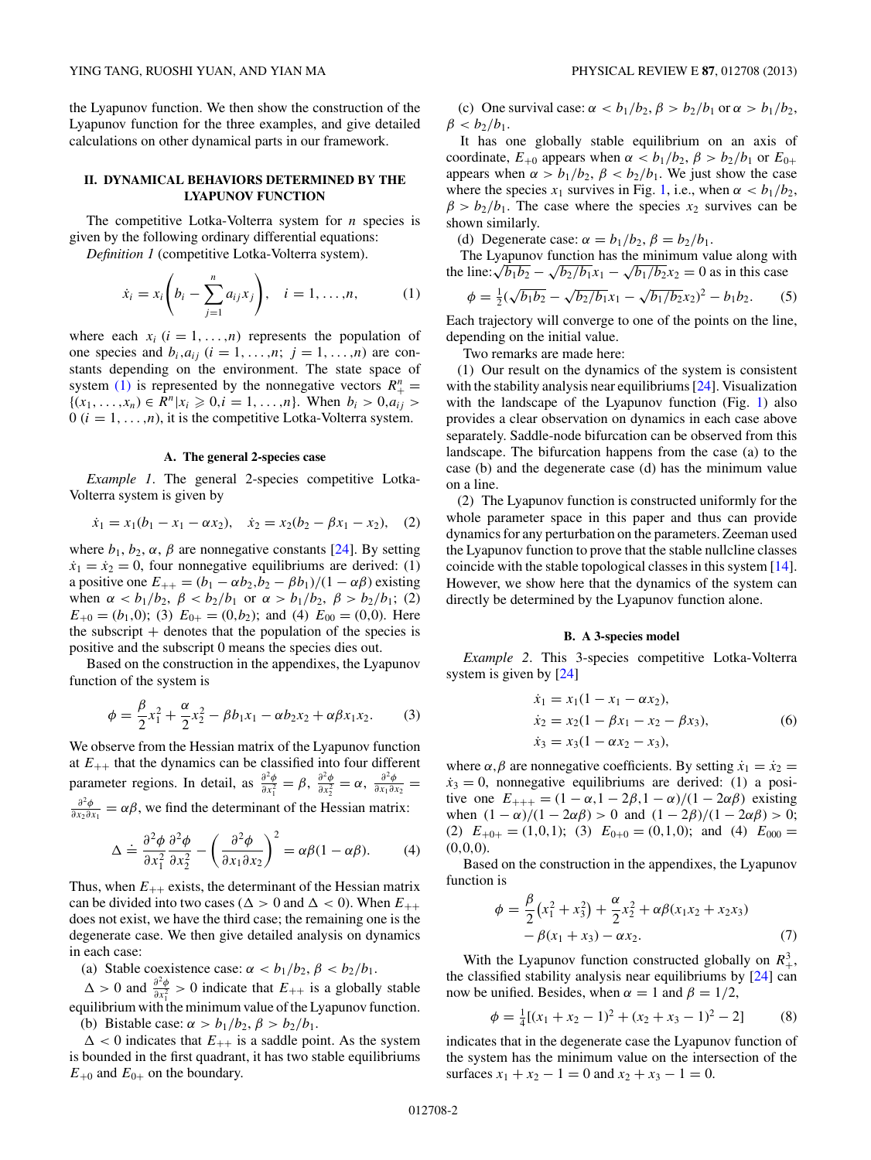<span id="page-1-0"></span>the Lyapunov function. We then show the construction of the Lyapunov function for the three examples, and give detailed calculations on other dynamical parts in our framework.

# **II. DYNAMICAL BEHAVIORS DETERMINED BY THE LYAPUNOV FUNCTION**

The competitive Lotka-Volterra system for *n* species is given by the following ordinary differential equations:

*Definition 1* (competitive Lotka-Volterra system).

$$
\dot{x}_i = x_i \left( b_i - \sum_{j=1}^n a_{ij} x_j \right), \quad i = 1, \dots, n,
$$
 (1)

where each  $x_i$  ( $i = 1, ..., n$ ) represents the population of one species and  $b_i, a_{ij}$  ( $i = 1, \ldots, n; j = 1, \ldots, n$ ) are constants depending on the environment. The state space of system (1) is represented by the nonnegative vectors  $R_+^n =$  $\{(x_1, \ldots, x_n) \in R^n | x_i \geq 0, i = 1, \ldots, n\}.$  When  $b_i > 0, a_{ij} > 0$  $0$  ( $i = 1, \ldots, n$ ), it is the competitive Lotka-Volterra system.

### **A. The general 2-species case**

*Example 1*. The general 2-species competitive Lotka-Volterra system is given by

$$
\dot{x}_1 = x_1(b_1 - x_1 - \alpha x_2), \quad \dot{x}_2 = x_2(b_2 - \beta x_1 - x_2), \quad (2)
$$

where  $b_1$ ,  $b_2$ ,  $\alpha$ ,  $\beta$  are nonnegative constants [\[24\]](#page-8-0). By setting  $\dot{x}_1 = \dot{x}_2 = 0$ , four nonnegative equilibriums are derived: (1) a positive one  $E_{++} = (b_1 - \alpha b_2, b_2 - \beta b_1)/(1 - \alpha \beta)$  existing when  $\alpha < b_1/b_2$ ,  $\beta < b_2/b_1$  or  $\alpha > b_1/b_2$ ,  $\beta > b_2/b_1$ ; (2)  $E_{+0} = (b_1, 0);$  (3)  $E_{0+} = (0, b_2);$  and (4)  $E_{00} = (0, 0).$  Here the subscript  $+$  denotes that the population of the species is positive and the subscript 0 means the species dies out.

Based on the construction in the appendixes, the Lyapunov function of the system is

$$
\phi = \frac{\beta}{2}x_1^2 + \frac{\alpha}{2}x_2^2 - \beta b_1 x_1 - \alpha b_2 x_2 + \alpha \beta x_1 x_2. \tag{3}
$$

We observe from the Hessian matrix of the Lyapunov function at  $E_{++}$  that the dynamics can be classified into four different parameter regions. In detail, as  $\frac{\partial^2 \phi}{\partial x_1^2} = \beta$ ,  $\frac{\partial^2 \phi}{\partial x_2^2} = \alpha$ ,  $\frac{\partial^2 \phi}{\partial x_1 \partial x_2} =$  $\frac{\partial^2 \phi}{\partial x_2 \partial x_1} = \alpha \beta$ , we find the determinant of the Hessian matrix:

$$
\Delta \doteq \frac{\partial^2 \phi}{\partial x_1^2} \frac{\partial^2 \phi}{\partial x_2^2} - \left(\frac{\partial^2 \phi}{\partial x_1 \partial x_2}\right)^2 = \alpha \beta (1 - \alpha \beta). \tag{4}
$$

Thus, when  $E_{++}$  exists, the determinant of the Hessian matrix can be divided into two cases ( $\Delta > 0$  and  $\Delta < 0$ ). When  $E_{++}$ does not exist, we have the third case; the remaining one is the degenerate case. We then give detailed analysis on dynamics in each case:

(a) Stable coexistence case:  $\alpha < b_1/b_2$ ,  $\beta < b_2/b_1$ .

 $\Delta > 0$  and  $\frac{\partial^2 \phi}{\partial x_1^2} > 0$  indicate that  $E_{++}$  is a globally stable equilibrium with the minimum value of the Lyapunov function.

(b) Bistable case:  $\alpha > b_1/b_2$ ,  $\beta > b_2/b_1$ .

 $\Delta$  < 0 indicates that  $E_{++}$  is a saddle point. As the system is bounded in the first quadrant, it has two stable equilibriums  $E_{+0}$  and  $E_{0+}$  on the boundary.

(c) One survival case:  $\alpha < b_1/b_2$ ,  $\beta > b_2/b_1$  or  $\alpha > b_1/b_2$ ,  $\beta < b_2/b_1$ .

It has one globally stable equilibrium on an axis of coordinate,  $E_{+0}$  appears when  $\alpha < b_1/b_2$ ,  $\beta > b_2/b_1$  or  $E_{0+}$ appears when  $\alpha > b_1/b_2$ ,  $\beta < b_2/b_1$ . We just show the case where the species  $x_1$  survives in Fig. [1,](#page-2-0) i.e., when  $\alpha < b_1/b_2$ ,  $\beta > b_2/b_1$ . The case where the species  $x_2$  survives can be shown similarly.

(d) Degenerate case:  $\alpha = b_1/b_2$ ,  $\beta = b_2/b_1$ .

The Lyapunov function has the minimum value along with the Line:  $\sqrt{b_1b_2} - \sqrt{b_2/b_1}x_1 - \sqrt{b_1/b_2}x_2 = 0$  as in this case  $\sqrt{b_1b_2} - \sqrt{b_2/b_1}x_1 - \sqrt{b_1/b_2}x_2$ 

$$
\phi = \frac{1}{2}(\sqrt{b_1b_2} - \sqrt{b_2/b_1}x_1 - \sqrt{b_1/b_2}x_2)^2 - b_1b_2.
$$
 (5)

Each trajectory will converge to one of the points on the line, depending on the initial value.

Two remarks are made here:

(1) Our result on the dynamics of the system is consistent with the stability analysis near equilibriums [\[24\]](#page-8-0). Visualization with the landscape of the Lyapunov function (Fig. [1\)](#page-2-0) also provides a clear observation on dynamics in each case above separately. Saddle-node bifurcation can be observed from this landscape. The bifurcation happens from the case (a) to the case (b) and the degenerate case (d) has the minimum value on a line.

(2) The Lyapunov function is constructed uniformly for the whole parameter space in this paper and thus can provide dynamics for any perturbation on the parameters. Zeeman used the Lyapunov function to prove that the stable nullcline classes coincide with the stable topological classes in this system [\[14\]](#page-8-0). However, we show here that the dynamics of the system can directly be determined by the Lyapunov function alone.

### **B. A 3-species model**

*Example 2*. This 3-species competitive Lotka-Volterra system is given by [\[24\]](#page-8-0)

$$
\begin{aligned}\n\dot{x}_1 &= x_1(1 - x_1 - \alpha x_2), \\
\dot{x}_2 &= x_2(1 - \beta x_1 - x_2 - \beta x_3), \\
\dot{x}_3 &= x_3(1 - \alpha x_2 - x_3),\n\end{aligned} \tag{6}
$$

where  $\alpha$ ,  $\beta$  are nonnegative coefficients. By setting  $\dot{x}_1 = \dot{x}_2$  =  $\dot{x}_3 = 0$ , nonnegative equilibriums are derived: (1) a positive one  $E_{+++} = (1 − α, 1 − 2β, 1 − α)/(1 − 2αβ)$  existing when  $(1 - \alpha)/(1 - 2\alpha\beta) > 0$  and  $(1 - 2\beta)/(1 - 2\alpha\beta) > 0$ ; (2)  $E_{+0+} = (1,0,1);$  (3)  $E_{0+0} = (0,1,0);$  and (4)  $E_{000} =$ (0*,*0*,*0).

Based on the construction in the appendixes, the Lyapunov function is

$$
\phi = \frac{\beta}{2} (x_1^2 + x_3^2) + \frac{\alpha}{2} x_2^2 + \alpha \beta (x_1 x_2 + x_2 x_3) - \beta (x_1 + x_3) - \alpha x_2.
$$
 (7)

With the Lyapunov function constructed globally on  $R_+^3$ , the classified stability analysis near equilibriums by [\[24\]](#page-8-0) can now be unified. Besides, when  $\alpha = 1$  and  $\beta = 1/2$ ,

$$
\phi = \frac{1}{4}[(x_1 + x_2 - 1)^2 + (x_2 + x_3 - 1)^2 - 2] \tag{8}
$$

indicates that in the degenerate case the Lyapunov function of the system has the minimum value on the intersection of the surfaces  $x_1 + x_2 - 1 = 0$  and  $x_2 + x_3 - 1 = 0$ .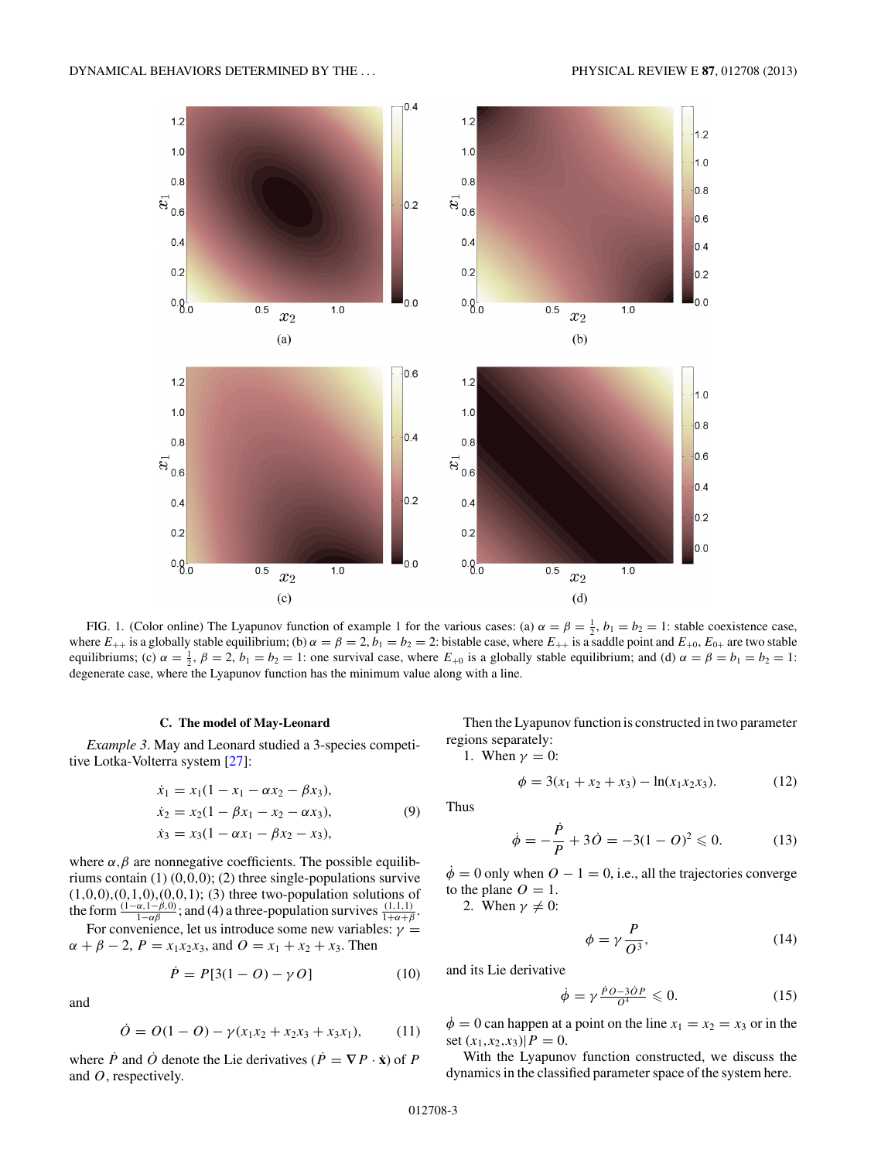<span id="page-2-0"></span>

FIG. 1. (Color online) The Lyapunov function of example 1 for the various cases: (a)  $\alpha = \beta = \frac{1}{2}$ ,  $b_1 = b_2 = 1$ : stable coexistence case, where  $E_{++}$  is a globally stable equilibrium; (b)  $\alpha = \beta = 2$ ,  $b_1 = b_2 = 2$ : bistable case, where  $E_{++}$  is a saddle point and  $E_{+0}$ ,  $E_{0+}$  are two stable equilibriums; (c)  $\alpha = \frac{1}{2}$ ,  $\beta = 2$ ,  $b_1 = b_2 = 1$ : one survival case, where  $E_{+0}$  is a globally stable equilibrium; and (d)  $\alpha = \beta = b_1 = b_2 = 1$ : degenerate case, where the Lyapunov function has the minimum value along with a line.

### **C. The model of May-Leonard**

*Example 3*. May and Leonard studied a 3-species competitive Lotka-Volterra system [\[27\]](#page-8-0):

$$
\begin{aligned}\n\dot{x}_1 &= x_1(1 - x_1 - \alpha x_2 - \beta x_3), \\
\dot{x}_2 &= x_2(1 - \beta x_1 - x_2 - \alpha x_3), \\
\dot{x}_3 &= x_3(1 - \alpha x_1 - \beta x_2 - x_3),\n\end{aligned} \tag{9}
$$

where  $\alpha, \beta$  are nonnegative coefficients. The possible equilibriums contain (1) (0*,*0*,*0); (2) three single-populations survive (1*,*0*,*0)*,*(0*,*1*,*0)*,*(0*,*0*,*1); (3) three two-population solutions of the form  $\frac{(1-\alpha,1-\beta,0)}{1-\alpha\beta}$ ; and (4) a three-population survives  $\frac{(1,1,1)}{1+\alpha+\beta}$ .

For convenience, let us introduce some new variables:  $\gamma$  =  $\alpha + \beta - 2$ ,  $P = x_1x_2x_3$ , and  $Q = x_1 + x_2 + x_3$ . Then

$$
\dot{P} = P[3(1 - O) - \gamma O] \tag{10}
$$

and

$$
\dot{O} = O(1 - O) - \gamma (x_1 x_2 + x_2 x_3 + x_3 x_1), \quad (11)
$$

where  $\vec{P}$  and  $\vec{O}$  denote the Lie derivatives ( $\vec{P} = \nabla P \cdot \dot{\mathbf{x}}$ ) of  $P$ and *O*, respectively.

Then the Lyapunov function is constructed in two parameter regions separately:

1. When 
$$
\gamma = 0
$$
:

$$
\phi = 3(x_1 + x_2 + x_3) - \ln(x_1 x_2 x_3). \tag{12}
$$

Thus

$$
\dot{\phi} = -\frac{\dot{P}}{P} + 3\dot{O} = -3(1 - O)^2 \le 0.
$$
 (13)

 $\dot{\phi} = 0$  only when  $O - 1 = 0$ , i.e., all the trajectories converge to the plane  $O = 1$ .

2. When  $\gamma \neq 0$ :

$$
\phi = \gamma \frac{P}{O^3},\tag{14}
$$

and its Lie derivative

$$
\dot{\phi} = \gamma \frac{\dot{p} o - 3\dot{o} p}{O^4} \leqslant 0. \tag{15}
$$

 $\dot{\phi} = 0$  can happen at a point on the line  $x_1 = x_2 = x_3$  or in the set  $(x_1, x_2, x_3)|P = 0$ .

With the Lyapunov function constructed, we discuss the dynamics in the classified parameter space of the system here.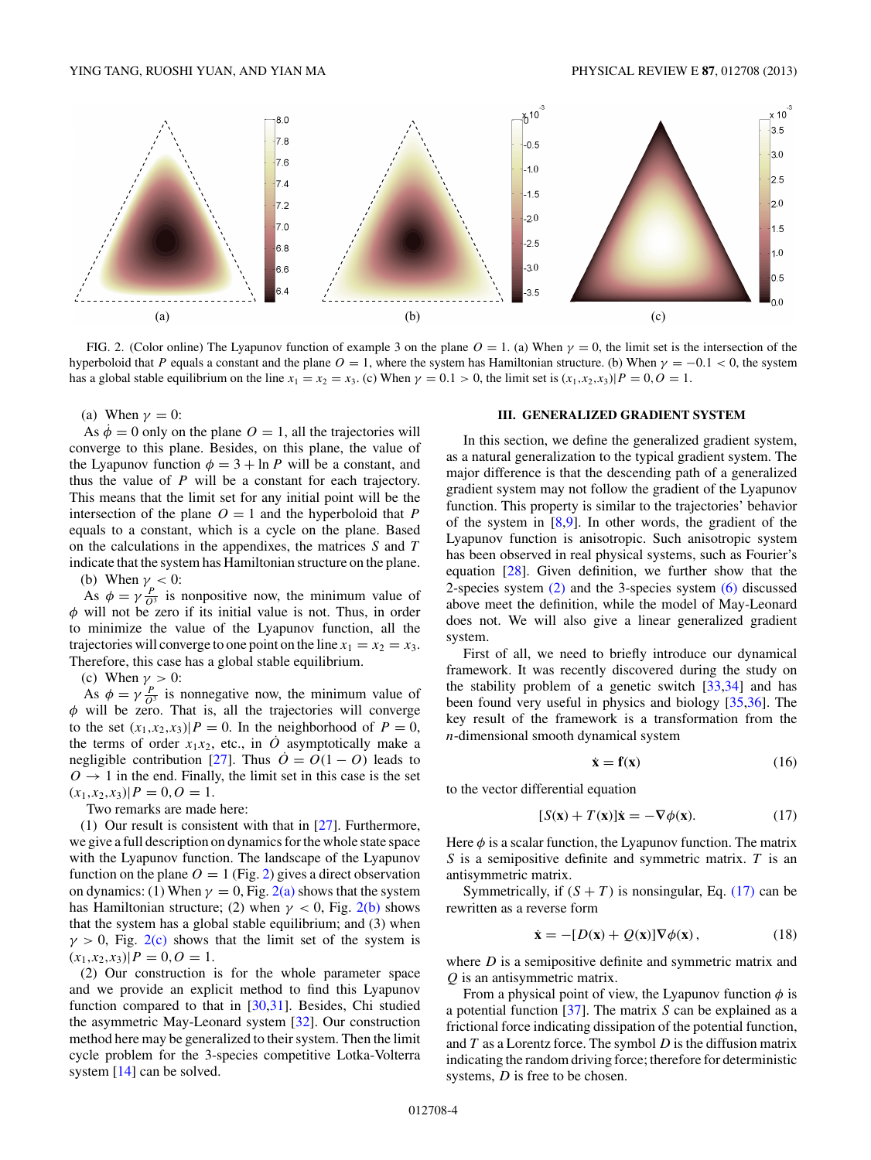<span id="page-3-0"></span>

FIG. 2. (Color online) The Lyapunov function of example 3 on the plane *O* = 1. (a) When *γ* = 0, the limit set is the intersection of the hyperboloid that *P* equals a constant and the plane  $O = 1$ , where the system has Hamiltonian structure. (b) When  $\gamma = -0.1 < 0$ , the system has a global stable equilibrium on the line  $x_1 = x_2 = x_3$ . (c) When  $\gamma = 0.1 > 0$ , the limit set is  $(x_1, x_2, x_3)$   $P = 0.0 = 1$ .

(a) When  $\gamma = 0$ :

As  $\dot{\phi} = 0$  only on the plane  $O = 1$ , all the trajectories will converge to this plane. Besides, on this plane, the value of the Lyapunov function  $\phi = 3 + \ln P$  will be a constant, and thus the value of *P* will be a constant for each trajectory. This means that the limit set for any initial point will be the intersection of the plane  $O = 1$  and the hyperboloid that *P* equals to a constant, which is a cycle on the plane. Based on the calculations in the appendixes, the matrices *S* and *T* indicate that the system has Hamiltonian structure on the plane.

(b) When *γ <* 0:

As  $\phi = \gamma \frac{P}{\omega^3}$  is nonpositive now, the minimum value of *φ* will not be zero if its initial value is not. Thus, in order to minimize the value of the Lyapunov function, all the trajectories will converge to one point on the line  $x_1 = x_2 = x_3$ . Therefore, this case has a global stable equilibrium.

(c) When  $\gamma > 0$ :

As  $\phi = \gamma \frac{p}{\omega^3}$  is nonnegative now, the minimum value of *φ* will be zero. That is, all the trajectories will converge to the set  $(x_1, x_2, x_3)|P = 0$ . In the neighborhood of  $P = 0$ , the terms of order  $x_1x_2$ , etc., in  $\dot{O}$  asymptotically make a negligible contribution [\[27\]](#page-8-0). Thus  $\dot{O} = O(1 - O)$  leads to  $O \rightarrow 1$  in the end. Finally, the limit set in this case is the set  $(x_1, x_2, x_3)|P = 0, O = 1.$ 

Two remarks are made here:

(1) Our result is consistent with that in  $[27]$ . Furthermore, we give a full description on dynamics for the whole state space with the Lyapunov function. The landscape of the Lyapunov function on the plane  $O = 1$  (Fig. 2) gives a direct observation on dynamics: (1) When  $\gamma = 0$ , Fig. 2(a) shows that the system has Hamiltonian structure; (2) when  $\gamma$  < 0, Fig. 2(b) shows that the system has a global stable equilibrium; and (3) when  $\gamma > 0$ , Fig. 2(c) shows that the limit set of the system is  $(x_1, x_2, x_3)|P = 0, O = 1.$ 

(2) Our construction is for the whole parameter space and we provide an explicit method to find this Lyapunov function compared to that in [\[30,31\]](#page-8-0). Besides, Chi studied the asymmetric May-Leonard system [\[32\]](#page-8-0). Our construction method here may be generalized to their system. Then the limit cycle problem for the 3-species competitive Lotka-Volterra system [\[14\]](#page-8-0) can be solved.

### **III. GENERALIZED GRADIENT SYSTEM**

In this section, we define the generalized gradient system, as a natural generalization to the typical gradient system. The major difference is that the descending path of a generalized gradient system may not follow the gradient of the Lyapunov function. This property is similar to the trajectories' behavior of the system in  $[8,9]$ . In other words, the gradient of the Lyapunov function is anisotropic. Such anisotropic system has been observed in real physical systems, such as Fourier's equation [\[28\]](#page-8-0). Given definition, we further show that the 2-species system  $(2)$  and the 3-species system  $(6)$  discussed above meet the definition, while the model of May-Leonard does not. We will also give a linear generalized gradient system.

First of all, we need to briefly introduce our dynamical framework. It was recently discovered during the study on the stability problem of a genetic switch  $[33,34]$  and has been found very useful in physics and biology [\[35,36\]](#page-8-0). The key result of the framework is a transformation from the *n*-dimensional smooth dynamical system

$$
\dot{\mathbf{x}} = \mathbf{f}(\mathbf{x}) \tag{16}
$$

to the vector differential equation

$$
[S(\mathbf{x}) + T(\mathbf{x})]\dot{\mathbf{x}} = -\nabla\phi(\mathbf{x}).\tag{17}
$$

Here  $\phi$  is a scalar function, the Lyapunov function. The matrix *S* is a semipositive definite and symmetric matrix. *T* is an antisymmetric matrix.

Symmetrically, if  $(S + T)$  is nonsingular, Eq. (17) can be rewritten as a reverse form

$$
\dot{\mathbf{x}} = -[D(\mathbf{x}) + Q(\mathbf{x})]\nabla\phi(\mathbf{x}),\tag{18}
$$

where *D* is a semipositive definite and symmetric matrix and *Q* is an antisymmetric matrix.

From a physical point of view, the Lyapunov function *φ* is a potential function [\[37\]](#page-8-0). The matrix *S* can be explained as a frictional force indicating dissipation of the potential function, and *T* as a Lorentz force. The symbol *D* is the diffusion matrix indicating the random driving force; therefore for deterministic systems, *D* is free to be chosen.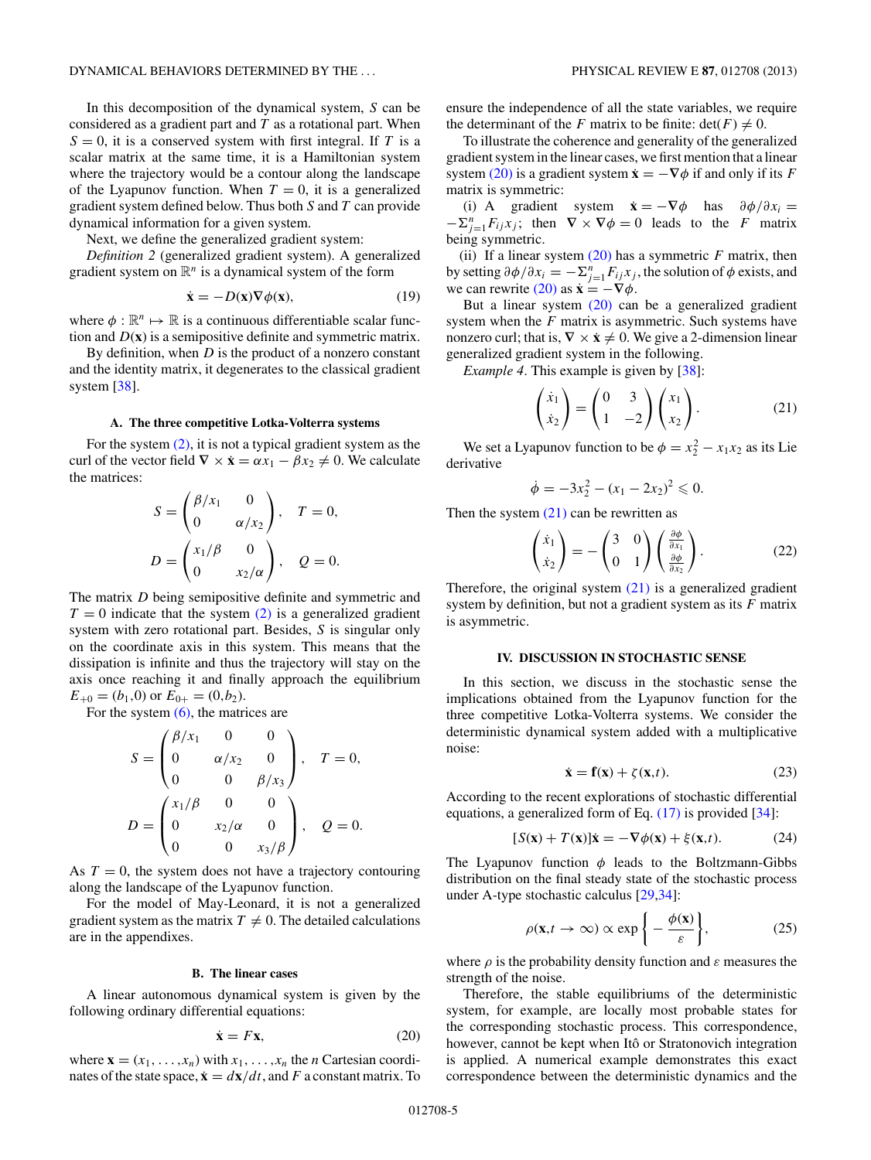<span id="page-4-0"></span>In this decomposition of the dynamical system, *S* can be considered as a gradient part and *T* as a rotational part. When  $S = 0$ , it is a conserved system with first integral. If *T* is a scalar matrix at the same time, it is a Hamiltonian system where the trajectory would be a contour along the landscape of the Lyapunov function. When  $T = 0$ , it is a generalized gradient system defined below. Thus both *S* and *T* can provide dynamical information for a given system.

Next, we define the generalized gradient system:

*Definition 2* (generalized gradient system). A generalized gradient system on  $\mathbb{R}^n$  is a dynamical system of the form

$$
\dot{\mathbf{x}} = -D(\mathbf{x}) \nabla \phi(\mathbf{x}),\tag{19}
$$

where  $\phi : \mathbb{R}^n \mapsto \mathbb{R}$  is a continuous differentiable scalar function and  $D(x)$  is a semipositive definite and symmetric matrix.

By definition, when *D* is the product of a nonzero constant and the identity matrix, it degenerates to the classical gradient system [\[38\]](#page-8-0).

### **A. The three competitive Lotka-Volterra systems**

For the system  $(2)$ , it is not a typical gradient system as the curl of the vector field  $\nabla \times \dot{\mathbf{x}} = \alpha x_1 - \beta x_2 \neq 0$ . We calculate the matrices:

$$
S = \begin{pmatrix} \beta/x_1 & 0 \\ 0 & \alpha/x_2 \end{pmatrix}, \quad T = 0,
$$

$$
D = \begin{pmatrix} x_1/\beta & 0 \\ 0 & x_2/\alpha \end{pmatrix}, \quad Q = 0.
$$

The matrix *D* being semipositive definite and symmetric and  $T = 0$  indicate that the system  $(2)$  is a generalized gradient system with zero rotational part. Besides, *S* is singular only on the coordinate axis in this system. This means that the dissipation is infinite and thus the trajectory will stay on the axis once reaching it and finally approach the equilibrium  $E_{+0} = (b_1, 0)$  or  $E_{0+} = (0, b_2)$ .

For the system  $(6)$ , the matrices are

$$
S = \begin{pmatrix} \beta/x_1 & 0 & 0 \\ 0 & \alpha/x_2 & 0 \\ 0 & 0 & \beta/x_3 \end{pmatrix}, \quad T = 0,
$$
  

$$
D = \begin{pmatrix} x_1/\beta & 0 & 0 \\ 0 & x_2/\alpha & 0 \\ 0 & 0 & x_3/\beta \end{pmatrix}, \quad Q = 0.
$$

As  $T = 0$ , the system does not have a trajectory contouring along the landscape of the Lyapunov function.

For the model of May-Leonard, it is not a generalized gradient system as the matrix  $T \neq 0$ . The detailed calculations are in the appendixes.

#### **B. The linear cases**

A linear autonomous dynamical system is given by the following ordinary differential equations:

$$
\dot{\mathbf{x}} = F\mathbf{x},\tag{20}
$$

where  $\mathbf{x} = (x_1, \dots, x_n)$  with  $x_1, \dots, x_n$  the *n* Cartesian coordinates of the state space,  $\dot{\mathbf{x}} = d\mathbf{x}/dt$ , and F a constant matrix. To ensure the independence of all the state variables, we require the determinant of the *F* matrix to be finite:  $det(F) \neq 0$ .

To illustrate the coherence and generality of the generalized gradient system in the linear cases, we first mention that a linear system (20) is a gradient system  $\dot{\mathbf{x}} = -\nabla \phi$  if and only if its *F* matrix is symmetric:

(i) A gradient system  $\dot{\mathbf{x}} = -\nabla \phi$  has  $\partial \phi / \partial x_i =$  $-\sum_{j=1}^{n} F_{ij}x_j$ ; then  $\nabla \times \nabla \phi = 0$  leads to the *F* matrix being symmetric.

(ii) If a linear system  $(20)$  has a symmetric *F* matrix, then by setting  $\partial \phi / \partial x_i = -\sum_{j=1}^n F_{ij} x_j$ , the solution of  $\phi$  exists, and we can rewrite (20) as  $\dot{\mathbf{x}} = -\nabla \phi$ .

But a linear system  $(20)$  can be a generalized gradient system when the *F* matrix is asymmetric. Such systems have nonzero curl; that is,  $\nabla \times \dot{\mathbf{x}} \neq 0$ . We give a 2-dimension linear generalized gradient system in the following.

*Example 4.* This example is given by [\[38\]](#page-8-0):

$$
\begin{pmatrix} \dot{x}_1 \\ \dot{x}_2 \end{pmatrix} = \begin{pmatrix} 0 & 3 \\ 1 & -2 \end{pmatrix} \begin{pmatrix} x_1 \\ x_2 \end{pmatrix}.
$$
 (21)

We set a Lyapunov function to be  $\phi = x_2^2 - x_1 x_2$  as its Lie derivative

$$
\dot{\phi} = -3x_2^2 - (x_1 - 2x_2)^2 \leq 0.
$$

Then the system  $(21)$  can be rewritten as

$$
\begin{pmatrix} \dot{x}_1 \\ \dot{x}_2 \end{pmatrix} = -\begin{pmatrix} 3 & 0 \\ 0 & 1 \end{pmatrix} \begin{pmatrix} \frac{\partial \phi}{\partial x_1} \\ \frac{\partial \phi}{\partial x_2} \end{pmatrix}.
$$
 (22)

Therefore, the original system  $(21)$  is a generalized gradient system by definition, but not a gradient system as its *F* matrix is asymmetric.

### **IV. DISCUSSION IN STOCHASTIC SENSE**

In this section, we discuss in the stochastic sense the implications obtained from the Lyapunov function for the three competitive Lotka-Volterra systems. We consider the deterministic dynamical system added with a multiplicative noise:

$$
\dot{\mathbf{x}} = \mathbf{f}(\mathbf{x}) + \zeta(\mathbf{x}, t). \tag{23}
$$

According to the recent explorations of stochastic differential equations, a generalized form of Eq. [\(17\)](#page-3-0) is provided [\[34\]](#page-8-0):

$$
[S(\mathbf{x}) + T(\mathbf{x})]\dot{\mathbf{x}} = -\nabla\phi(\mathbf{x}) + \xi(\mathbf{x}, t). \tag{24}
$$

The Lyapunov function  $\phi$  leads to the Boltzmann-Gibbs distribution on the final steady state of the stochastic process under A-type stochastic calculus [\[29,34\]](#page-8-0):

$$
\rho(\mathbf{x}, t \to \infty) \propto \exp\bigg\{-\frac{\phi(\mathbf{x})}{\varepsilon}\bigg\},\tag{25}
$$

where  $\rho$  is the probability density function and  $\varepsilon$  measures the strength of the noise.

Therefore, the stable equilibriums of the deterministic system, for example, are locally most probable states for the corresponding stochastic process. This correspondence, however, cannot be kept when Itô or Stratonovich integration is applied. A numerical example demonstrates this exact correspondence between the deterministic dynamics and the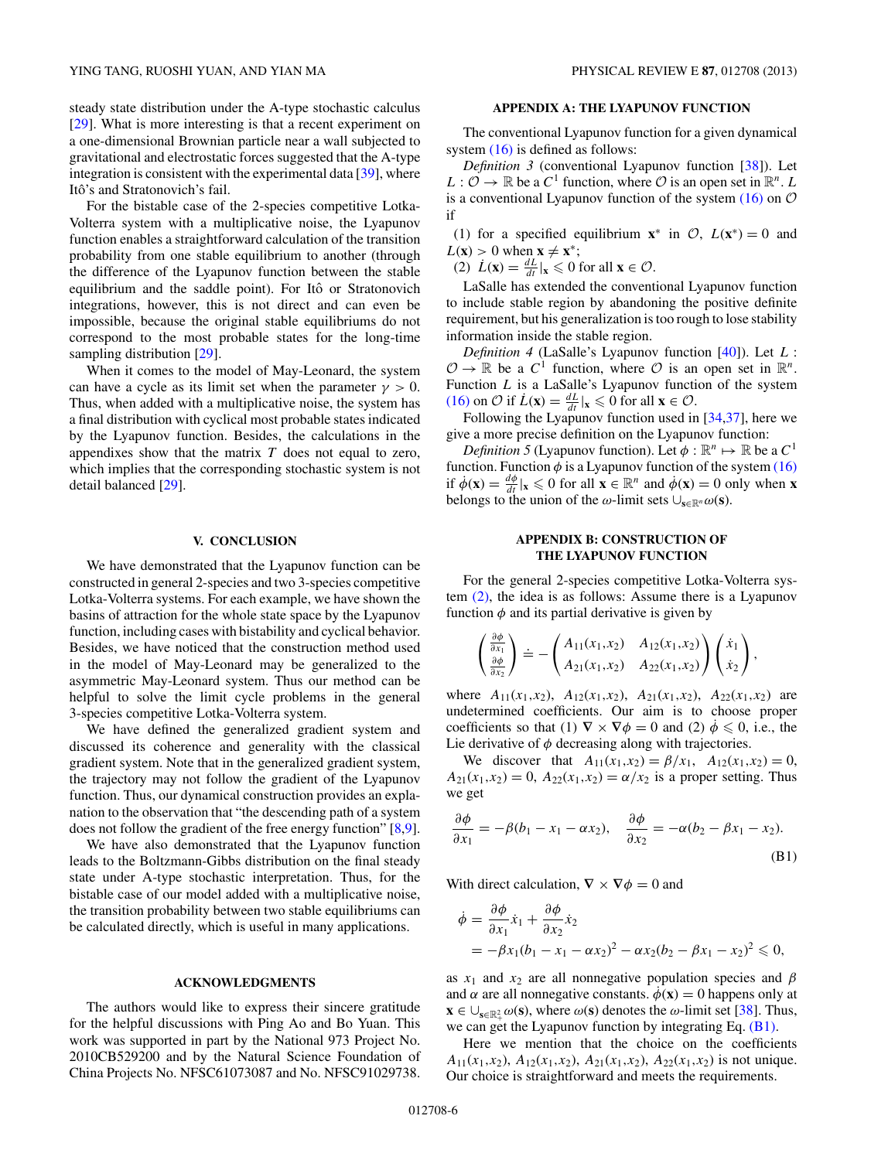<span id="page-5-0"></span>steady state distribution under the A-type stochastic calculus [\[29\]](#page-8-0). What is more interesting is that a recent experiment on a one-dimensional Brownian particle near a wall subjected to gravitational and electrostatic forces suggested that the A-type integration is consistent with the experimental data [\[39\]](#page-8-0), where Itô's and Stratonovich's fail.

For the bistable case of the 2-species competitive Lotka-Volterra system with a multiplicative noise, the Lyapunov function enables a straightforward calculation of the transition probability from one stable equilibrium to another (through the difference of the Lyapunov function between the stable equilibrium and the saddle point). For Itô or Stratonovich integrations, however, this is not direct and can even be impossible, because the original stable equilibriums do not correspond to the most probable states for the long-time sampling distribution [\[29\]](#page-8-0).

When it comes to the model of May-Leonard, the system can have a cycle as its limit set when the parameter  $\gamma > 0$ . Thus, when added with a multiplicative noise, the system has a final distribution with cyclical most probable states indicated by the Lyapunov function. Besides, the calculations in the appendixes show that the matrix *T* does not equal to zero, which implies that the corresponding stochastic system is not detail balanced [\[29\]](#page-8-0).

# **V. CONCLUSION**

We have demonstrated that the Lyapunov function can be constructed in general 2-species and two 3-species competitive Lotka-Volterra systems. For each example, we have shown the basins of attraction for the whole state space by the Lyapunov function, including cases with bistability and cyclical behavior. Besides, we have noticed that the construction method used in the model of May-Leonard may be generalized to the asymmetric May-Leonard system. Thus our method can be helpful to solve the limit cycle problems in the general 3-species competitive Lotka-Volterra system.

We have defined the generalized gradient system and discussed its coherence and generality with the classical gradient system. Note that in the generalized gradient system, the trajectory may not follow the gradient of the Lyapunov function. Thus, our dynamical construction provides an explanation to the observation that "the descending path of a system does not follow the gradient of the free energy function" [\[8,9\]](#page-8-0).

We have also demonstrated that the Lyapunov function leads to the Boltzmann-Gibbs distribution on the final steady state under A-type stochastic interpretation. Thus, for the bistable case of our model added with a multiplicative noise, the transition probability between two stable equilibriums can be calculated directly, which is useful in many applications.

### **ACKNOWLEDGMENTS**

The authors would like to express their sincere gratitude for the helpful discussions with Ping Ao and Bo Yuan. This work was supported in part by the National 973 Project No. 2010CB529200 and by the Natural Science Foundation of China Projects No. NFSC61073087 and No. NFSC91029738.

### **APPENDIX A: THE LYAPUNOV FUNCTION**

The conventional Lyapunov function for a given dynamical system  $(16)$  is defined as follows:

*Definition 3* (conventional Lyapunov function [\[38\]](#page-8-0)). Let  $L: \mathcal{O} \to \mathbb{R}$  be a  $C^1$  function, where  $\mathcal O$  is an open set in  $\mathbb{R}^n$ . *L* is a conventional Lyapunov function of the system  $(16)$  on  $O$ if

(1) for a specified equilibrium **x**<sup>\*</sup> in  $\mathcal{O}$ ,  $L(\mathbf{x}^*) = 0$  and  $L(\mathbf{x}) > 0$  when  $\mathbf{x} \neq \mathbf{x}^*$ ;

(2)  $\dot{L}(\mathbf{x}) = \frac{dL}{dt} | \mathbf{x} \leq 0 \text{ for all } \mathbf{x} \in \mathcal{O}.$ 

LaSalle has extended the conventional Lyapunov function to include stable region by abandoning the positive definite requirement, but his generalization is too rough to lose stability information inside the stable region.

*Definition 4* (LaSalle's Lyapunov function [\[40\]](#page-8-0)). Let *L* :  $\mathcal{O} \to \mathbb{R}$  be a  $C^1$  function, where  $\mathcal O$  is an open set in  $\mathbb{R}^n$ . Function *L* is a LaSalle's Lyapunov function of the system [\(16\)](#page-3-0) on  $\mathcal{O}$  if  $\dot{L}(\mathbf{x}) = \frac{dL}{dt} | \mathbf{x} \leq 0$  for all  $\mathbf{x} \in \mathcal{O}$ .

Following the Lyapunov function used in [\[34,37\]](#page-8-0), here we give a more precise definition on the Lyapunov function:

*Definition 5* (Lyapunov function). Let  $\phi : \mathbb{R}^n \mapsto \mathbb{R}$  be a  $C^1$ function. Function  $\phi$  is a Lyapunov function of the system [\(16\)](#page-3-0) if  $\dot{\phi}(\mathbf{x}) = \frac{d\phi}{dt} | \mathbf{x} \leq 0$  for all  $\mathbf{x} \in \mathbb{R}^n$  and  $\dot{\phi}(\mathbf{x}) = 0$  only when **x** belongs to the union of the  $\omega$ -limit sets  $\cup_{s \in \mathbb{R}^n} \omega(s)$ .

# **APPENDIX B: CONSTRUCTION OF THE LYAPUNOV FUNCTION**

For the general 2-species competitive Lotka-Volterra system [\(2\),](#page-1-0) the idea is as follows: Assume there is a Lyapunov function  $\phi$  and its partial derivative is given by

$$
\begin{pmatrix}\n\frac{\partial \phi}{\partial x_1} \\
\frac{\partial \phi}{\partial x_2}\n\end{pmatrix} \doteq - \begin{pmatrix}\nA_{11}(x_1, x_2) & A_{12}(x_1, x_2) \\
A_{21}(x_1, x_2) & A_{22}(x_1, x_2)\n\end{pmatrix} \begin{pmatrix}\n\dot{x}_1 \\
\dot{x}_2\n\end{pmatrix},
$$

where  $A_{11}(x_1, x_2)$ ,  $A_{12}(x_1, x_2)$ ,  $A_{21}(x_1, x_2)$ ,  $A_{22}(x_1, x_2)$  are undetermined coefficients. Our aim is to choose proper coefficients so that (1)  $\nabla \times \nabla \phi = 0$  and (2)  $\dot{\phi} \leq 0$ , i.e., the Lie derivative of  $\phi$  decreasing along with trajectories.

We discover that  $A_{11}(x_1, x_2) = \beta/x_1$ ,  $A_{12}(x_1, x_2) = 0$ ,  $A_{21}(x_1, x_2) = 0$ ,  $A_{22}(x_1, x_2) = \alpha/x_2$  is a proper setting. Thus we get

$$
\frac{\partial \phi}{\partial x_1} = -\beta(b_1 - x_1 - \alpha x_2), \quad \frac{\partial \phi}{\partial x_2} = -\alpha(b_2 - \beta x_1 - x_2).
$$
\n(B1)

With direct calculation,  $\nabla \times \nabla \phi = 0$  and

$$
\dot{\phi} = \frac{\partial \phi}{\partial x_1} \dot{x}_1 + \frac{\partial \phi}{\partial x_2} \dot{x}_2
$$
  
=  $-\beta x_1 (b_1 - x_1 - \alpha x_2)^2 - \alpha x_2 (b_2 - \beta x_1 - x_2)^2 \le 0,$ 

as  $x_1$  and  $x_2$  are all nonnegative population species and  $\beta$ and  $\alpha$  are all nonnegative constants.  $\dot{\phi}(\mathbf{x}) = 0$  happens only at **x** ∈  $\cup_{s \in \mathbb{R}^2_+} \omega(s)$ , where  $\omega(s)$  denotes the  $\omega$ -limit set [\[38\]](#page-8-0). Thus, we can get the Lyapunov function by integrating Eq. (B1).

Here we mention that the choice on the coefficients *A*<sub>11</sub>( $x_1, x_2$ ), *A*<sub>12</sub>( $x_1, x_2$ ), *A*<sub>21</sub>( $x_1, x_2$ ), *A*<sub>22</sub>( $x_1, x_2$ ) is not unique. Our choice is straightforward and meets the requirements.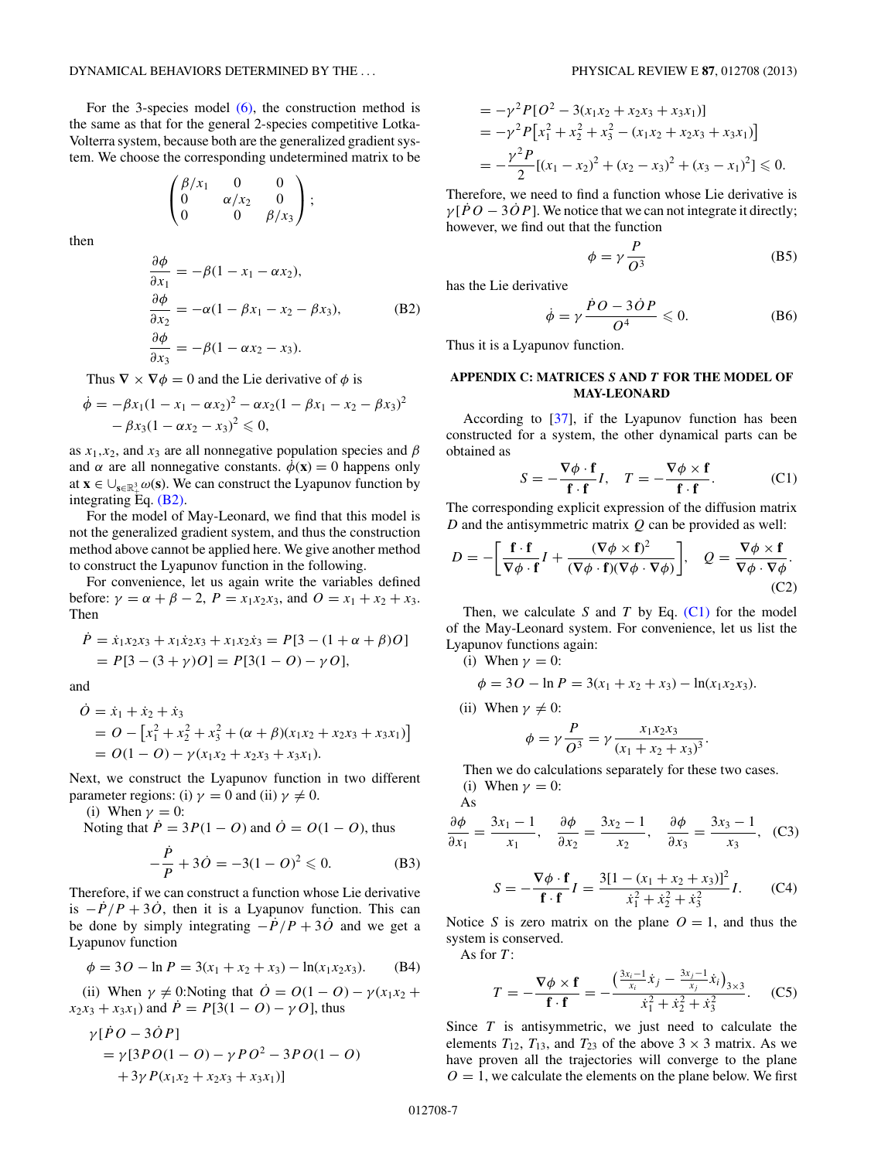For the 3-species model  $(6)$ , the construction method is the same as that for the general 2-species competitive Lotka-Volterra system, because both are the generalized gradient system. We choose the corresponding undetermined matrix to be

$$
\begin{pmatrix}\n\beta/x_1 & 0 & 0 \\
0 & \alpha/x_2 & 0 \\
0 & 0 & \beta/x_3\n\end{pmatrix};
$$

then

$$
\begin{aligned}\n\frac{\partial \phi}{\partial x_1} &= -\beta (1 - x_1 - \alpha x_2), \\
\frac{\partial \phi}{\partial x_2} &= -\alpha (1 - \beta x_1 - x_2 - \beta x_3), \\
\frac{\partial \phi}{\partial x_3} &= -\beta (1 - \alpha x_2 - x_3).\n\end{aligned}
$$
(B2)

Thus  $\nabla \times \nabla \phi = 0$  and the Lie derivative of  $\phi$  is

$$
\dot{\phi} = -\beta x_1 (1 - x_1 - \alpha x_2)^2 - \alpha x_2 (1 - \beta x_1 - x_2 - \beta x_3)^2 - \beta x_3 (1 - \alpha x_2 - x_3)^2 \leq 0,
$$

as  $x_1, x_2$ , and  $x_3$  are all nonnegative population species and  $\beta$ and  $\alpha$  are all nonnegative constants.  $\dot{\phi}(\mathbf{x}) = 0$  happens only at  $\mathbf{x} \in \bigcup_{\mathbf{s} \in \mathbb{R}_+^3} \omega(\mathbf{s})$ . We can construct the Lyapunov function by integrating Eq. (B2).

For the model of May-Leonard, we find that this model is not the generalized gradient system, and thus the construction method above cannot be applied here. We give another method to construct the Lyapunov function in the following.

For convenience, let us again write the variables defined before:  $\gamma = \alpha + \beta - 2$ ,  $P = x_1x_2x_3$ , and  $Q = x_1 + x_2 + x_3$ . Then

$$
\dot{P} = \dot{x}_1 x_2 x_3 + x_1 \dot{x}_2 x_3 + x_1 x_2 \dot{x}_3 = P[3 - (1 + \alpha + \beta)O]
$$
  
=  $P[3 - (3 + \gamma)O] = P[3(1 - O) - \gamma O],$ 

and

$$
\dot{O} = \dot{x}_1 + \dot{x}_2 + \dot{x}_3
$$
  
=  $O - [x_1^2 + x_2^2 + x_3^2 + (\alpha + \beta)(x_1x_2 + x_2x_3 + x_3x_1)]$   
=  $O(1 - O) - \gamma(x_1x_2 + x_2x_3 + x_3x_1).$ 

Next, we construct the Lyapunov function in two different parameter regions: (i)  $\gamma = 0$  and (ii)  $\gamma \neq 0$ .

(i) When  $\gamma = 0$ :

Noting that  $\dot{P} = 3P(1 - O)$  and  $\dot{O} = O(1 - O)$ , thus

$$
-\frac{\dot{P}}{P} + 3\dot{O} = -3(1 - O)^2 \le 0.
$$
 (B3)

Therefore, if we can construct a function whose Lie derivative is  $-\dot{P}/P + 3\dot{O}$ , then it is a Lyapunov function. This can be done by simply integrating  $-\dot{P}/P + 3\dot{O}$  and we get a Lyapunov function

$$
\phi = 30 - \ln P = 3(x_1 + x_2 + x_3) - \ln(x_1 x_2 x_3). \tag{B4}
$$

(ii) When  $\gamma \neq 0$ : Noting that  $\dot{O} = O(1 - O) - \gamma(x_1x_2 +$  $x_2x_3 + x_3x_1$  and  $\dot{P} = P[3(1 - Q) - \gamma Q]$ , thus

$$
\gamma[\dot{P}O - 3\dot{O}P] \n= \gamma[3PO(1-O) - \gamma PO^2 - 3PO(1-O) \n+ 3\gamma P(x_1x_2 + x_2x_3 + x_3x_1)]
$$

$$
= -\gamma^2 P[O^2 - 3(x_1x_2 + x_2x_3 + x_3x_1)]
$$
  
=  $-\gamma^2 P[x_1^2 + x_2^2 + x_3^2 - (x_1x_2 + x_2x_3 + x_3x_1)]$   
=  $-\frac{\gamma^2 P}{2}[(x_1 - x_2)^2 + (x_2 - x_3)^2 + (x_3 - x_1)^2] \le 0.$ 

Therefore, we need to find a function whose Lie derivative is  $\gamma[\dot{P}O - 3\dot{O}P]$ . We notice that we can not integrate it directly; however, we find out that the function

$$
\phi = \gamma \frac{P}{O^3} \tag{B5}
$$

has the Lie derivative

$$
\dot{\phi} = \gamma \frac{\dot{P}O - 3\dot{O}P}{O^4} \leqslant 0.
$$
 (B6)

Thus it is a Lyapunov function.

# **APPENDIX C: MATRICES** *S* **AND** *T* **FOR THE MODEL OF MAY-LEONARD**

According to [\[37\]](#page-8-0), if the Lyapunov function has been constructed for a system, the other dynamical parts can be obtained as

$$
S = -\frac{\nabla \phi \cdot \mathbf{f}}{\mathbf{f} \cdot \mathbf{f}} I, \quad T = -\frac{\nabla \phi \times \mathbf{f}}{\mathbf{f} \cdot \mathbf{f}}.
$$
 (C1)

The corresponding explicit expression of the diffusion matrix *D* and the antisymmetric matrix *Q* can be provided as well:

$$
D = -\left[\frac{\mathbf{f} \cdot \mathbf{f}}{\nabla \phi \cdot \mathbf{f}} I + \frac{(\nabla \phi \times \mathbf{f})^2}{(\nabla \phi \cdot \mathbf{f})(\nabla \phi \cdot \nabla \phi)}\right], \quad Q = \frac{\nabla \phi \times \mathbf{f}}{\nabla \phi \cdot \nabla \phi}.
$$
\n(C2)

Then, we calculate *S* and *T* by Eq.  $(C1)$  for the model of the May-Leonard system. For convenience, let us list the Lyapunov functions again:

(i) When  $\gamma = 0$ :  $\phi = 3Q - \ln P = 3(x_1 + x_2 + x_3) - \ln(x_1x_2x_3)$ .

(ii) When 
$$
\gamma \neq 0
$$
:

$$
\phi = \gamma \frac{P}{O^3} = \gamma \frac{x_1 x_2 x_3}{(x_1 + x_2 + x_3)^3}.
$$

Then we do calculations separately for these two cases. (i) When  $\gamma = 0$ :

As

$$
\frac{\partial \phi}{\partial x_1} = \frac{3x_1 - 1}{x_1}, \quad \frac{\partial \phi}{\partial x_2} = \frac{3x_2 - 1}{x_2}, \quad \frac{\partial \phi}{\partial x_3} = \frac{3x_3 - 1}{x_3}, \quad \text{(C3)}
$$

$$
S = -\frac{\nabla \phi \cdot \mathbf{f}}{\mathbf{f} \cdot \mathbf{f}} I = \frac{3[1 - (x_1 + x_2 + x_3)]^2}{\dot{x}_1^2 + \dot{x}_2^2 + \dot{x}_3^2} I.
$$
 (C4)

Notice *S* is zero matrix on the plane  $O = 1$ , and thus the system is conserved.

As for *T* :

$$
T = -\frac{\nabla \phi \times \mathbf{f}}{\mathbf{f} \cdot \mathbf{f}} = -\frac{\left(\frac{3x_i - 1}{x_i}\dot{x}_j - \frac{3x_j - 1}{x_j}\dot{x}_i\right)_{3 \times 3}}{\dot{x}_1^2 + \dot{x}_2^2 + \dot{x}_3^2}.
$$
 (C5)

Since *T* is antisymmetric, we just need to calculate the elements  $T_{12}$ ,  $T_{13}$ , and  $T_{23}$  of the above  $3 \times 3$  matrix. As we have proven all the trajectories will converge to the plane  $O = 1$ , we calculate the elements on the plane below. We first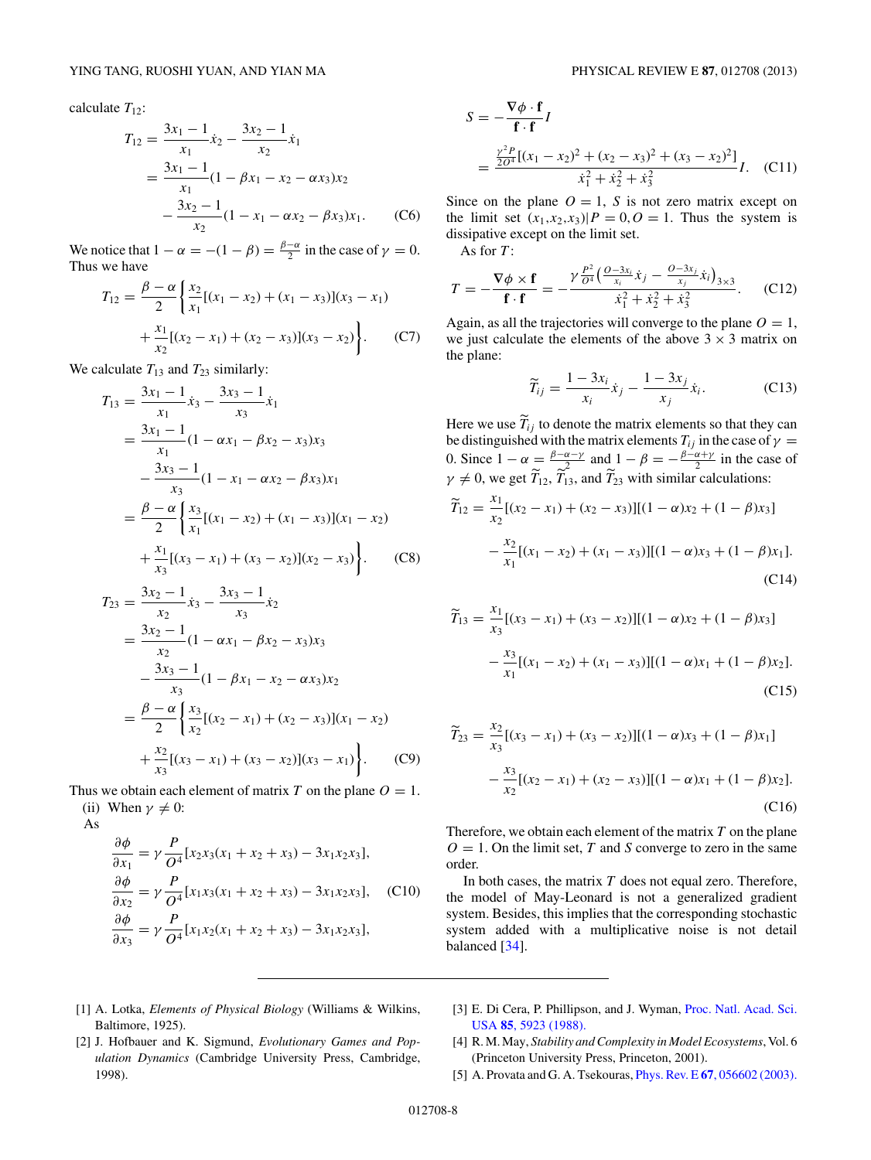<span id="page-7-0"></span>calculate  $T_{12}$ :

$$
T_{12} = \frac{3x_1 - 1}{x_1} \dot{x}_2 - \frac{3x_2 - 1}{x_2} \dot{x}_1
$$
  
= 
$$
\frac{3x_1 - 1}{x_1} (1 - \beta x_1 - x_2 - \alpha x_3) x_2
$$
  

$$
-\frac{3x_2 - 1}{x_2} (1 - x_1 - \alpha x_2 - \beta x_3) x_1.
$$
 (C6)

We notice that  $1 - \alpha = -(1 - \beta) = \frac{\beta - \alpha}{2}$  in the case of  $\gamma = 0$ . Thus we have

$$
T_{12} = \frac{\beta - \alpha}{2} \left\{ \frac{x_2}{x_1} [(x_1 - x_2) + (x_1 - x_3)](x_3 - x_1) + \frac{x_1}{x_2} [(x_2 - x_1) + (x_2 - x_3)](x_3 - x_2) \right\}.
$$
 (C7)

We calculate  $T_{13}$  and  $T_{23}$  similarly:

$$
T_{13} = \frac{3x_1 - 1}{x_1} \dot{x}_3 - \frac{3x_3 - 1}{x_3} \dot{x}_1
$$
  
= 
$$
\frac{3x_1 - 1}{x_1} (1 - \alpha x_1 - \beta x_2 - x_3) x_3
$$
  

$$
-\frac{3x_3 - 1}{x_3} (1 - x_1 - \alpha x_2 - \beta x_3) x_1
$$
  
= 
$$
\frac{\beta - \alpha}{2} \left\{ \frac{x_3}{x_1} [(x_1 - x_2) + (x_1 - x_3)] (x_1 - x_2) + \frac{x_1}{x_3} [(x_3 - x_1) + (x_3 - x_2)] (x_2 - x_3) \right\}.
$$
 (C8)

$$
T_{23} = \frac{3x_2 - 1}{x_2} \dot{x}_3 - \frac{3x_3 - 1}{x_3} \dot{x}_2
$$
  
= 
$$
\frac{3x_2 - 1}{x_2} (1 - \alpha x_1 - \beta x_2 - x_3) x_3
$$
  

$$
-\frac{3x_3 - 1}{x_3} (1 - \beta x_1 - x_2 - \alpha x_3) x_2
$$
  
= 
$$
\frac{\beta - \alpha}{2} \left\{ \frac{x_3}{x_2} [(x_2 - x_1) + (x_2 - x_3)] (x_1 - x_2) + \frac{x_2}{x_3} [(x_3 - x_1) + (x_3 - x_2)] (x_3 - x_1) \right\}.
$$
 (C9)

Thus we obtain each element of matrix *T* on the plane  $O = 1$ . (ii) When  $\gamma \neq 0$ :

As

$$
\frac{\partial \phi}{\partial x_1} = \gamma \frac{P}{O^4} [x_2 x_3 (x_1 + x_2 + x_3) - 3x_1 x_2 x_3],
$$
  
\n
$$
\frac{\partial \phi}{\partial x_2} = \gamma \frac{P}{O^4} [x_1 x_3 (x_1 + x_2 + x_3) - 3x_1 x_2 x_3], \quad \text{(C10)}
$$
  
\n
$$
\frac{\partial \phi}{\partial x_3} = \gamma \frac{P}{O^4} [x_1 x_2 (x_1 + x_2 + x_3) - 3x_1 x_2 x_3],
$$

$$
S = -\frac{\nabla \phi \cdot \mathbf{f}}{\mathbf{f} \cdot \mathbf{f}} I
$$
  
= 
$$
\frac{\frac{y^2 P}{20^4} [(x_1 - x_2)^2 + (x_2 - x_3)^2 + (x_3 - x_2)^2]}{x_1^2 + x_2^2 + x_3^2} I.
$$
 (C11)

Since on the plane  $O = 1$ , *S* is not zero matrix except on the limit set  $(x_1, x_2, x_3)|P = 0, Q = 1$ . Thus the system is dissipative except on the limit set.

As for *T* :

$$
T = -\frac{\nabla \phi \times \mathbf{f}}{\mathbf{f} \cdot \mathbf{f}} = -\frac{\gamma \frac{P^2}{O^4} \left( \frac{O - 3x_i}{x_i} \dot{x}_j - \frac{O - 3x_j}{x_j} \dot{x}_i \right)_{3 \times 3}}{\dot{x}_1^2 + \dot{x}_2^2 + \dot{x}_3^2}.
$$
 (C12)

Again, as all the trajectories will converge to the plane  $O = 1$ , we just calculate the elements of the above  $3 \times 3$  matrix on the plane:

$$
\widetilde{T}_{ij} = \frac{1 - 3x_i}{x_i} \dot{x}_j - \frac{1 - 3x_j}{x_j} \dot{x}_i.
$$
 (C13)

Here we use  $T_{ij}$  to denote the matrix elements so that they can be distinguished with the matrix elements  $T_{ij}$  in the case of  $\gamma =$ 0. Since  $1 - \alpha = \frac{\beta - \alpha - \gamma}{2}$  and  $1 - \beta = -\frac{\beta - \alpha + \gamma}{2}$  in the case of  $\gamma \neq 0$ , we get  $\tilde{T}_{12}$ ,  $\tilde{T}_{13}$ , and  $\tilde{T}_{23}$  with similar calculations:  $\widetilde{T}_{12} = \frac{x_1}{x_2}[(x_2 - x_1) + (x_2 - x_3)][(1 - \alpha)x_2 + (1 - \beta)x_3]$  $-\frac{x_2}{x_1}$  $\frac{x_2}{x_1}[(x_1 - x_2) + (x_1 - x_3)][(1 - \alpha)x_3 + (1 - \beta)x_1].$ (C14)

$$
\widetilde{T}_{13} = \frac{x_1}{x_3} [(x_3 - x_1) + (x_3 - x_2)][(1 - \alpha)x_2 + (1 - \beta)x_3]
$$

$$
- \frac{x_3}{x_1} [(x_1 - x_2) + (x_1 - x_3)][(1 - \alpha)x_1 + (1 - \beta)x_2].
$$
\n(C15)

$$
\widetilde{T}_{23} = \frac{x_2}{x_3} [(x_3 - x_1) + (x_3 - x_2)][(1 - \alpha)x_3 + (1 - \beta)x_1]
$$

$$
- \frac{x_3}{x_2} [(x_2 - x_1) + (x_2 - x_3)][(1 - \alpha)x_1 + (1 - \beta)x_2].
$$
  
(C16)

Therefore, we obtain each element of the matrix *T* on the plane  $O = 1$ . On the limit set, *T* and *S* converge to zero in the same order.

In both cases, the matrix *T* does not equal zero. Therefore, the model of May-Leonard is not a generalized gradient system. Besides, this implies that the corresponding stochastic system added with a multiplicative noise is not detail balanced [\[34\]](#page-8-0).

- [1] A. Lotka, *Elements of Physical Biology* (Williams & Wilkins, Baltimore, 1925).
- [3] E. Di Cera, P. Phillipson, and J. Wyman, [Proc. Natl. Acad. Sci.](http://dx.doi.org/10.1073/pnas.85.16.5923) USA **85**[, 5923 \(1988\).](http://dx.doi.org/10.1073/pnas.85.16.5923)
- [2] J. Hofbauer and K. Sigmund, *Evolutionary Games and Population Dynamics* (Cambridge University Press, Cambridge, 1998).
- [4] R. M. May, *Stability and Complexity in Model Ecosystems*, Vol. 6 (Princeton University Press, Princeton, 2001).
- [5] A. Provata and G. A. Tsekouras, Phys. Rev. E **67**[, 056602 \(2003\).](http://dx.doi.org/10.1103/PhysRevE.67.056602)